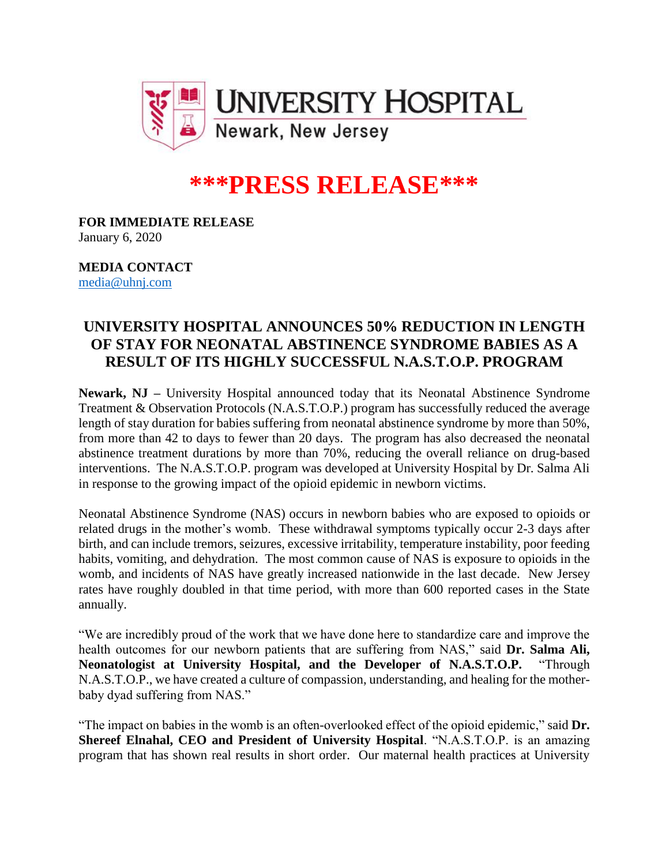

## **\*\*\*PRESS RELEASE\*\*\***

**FOR IMMEDIATE RELEASE** January 6, 2020

**MEDIA CONTACT** [media@uhnj.com](mailto:media@uhnj.com)

## **UNIVERSITY HOSPITAL ANNOUNCES 50% REDUCTION IN LENGTH OF STAY FOR NEONATAL ABSTINENCE SYNDROME BABIES AS A RESULT OF ITS HIGHLY SUCCESSFUL N.A.S.T.O.P. PROGRAM**

**Newark, NJ –** University Hospital announced today that its Neonatal Abstinence Syndrome Treatment & Observation Protocols (N.A.S.T.O.P.) program has successfully reduced the average length of stay duration for babies suffering from neonatal abstinence syndrome by more than 50%, from more than 42 to days to fewer than 20 days. The program has also decreased the neonatal abstinence treatment durations by more than 70%, reducing the overall reliance on drug-based interventions. The N.A.S.T.O.P. program was developed at University Hospital by Dr. Salma Ali in response to the growing impact of the opioid epidemic in newborn victims.

Neonatal Abstinence Syndrome (NAS) occurs in newborn babies who are exposed to opioids or related drugs in the mother's womb. These withdrawal symptoms typically occur 2-3 days after birth, and can include tremors, seizures, excessive irritability, temperature instability, poor feeding habits, vomiting, and dehydration. The most common cause of NAS is exposure to opioids in the womb, and incidents of NAS have greatly increased nationwide in the last decade. New Jersey rates have roughly doubled in that time period, with more than 600 reported cases in the State annually.

"We are incredibly proud of the work that we have done here to standardize care and improve the health outcomes for our newborn patients that are suffering from NAS," said Dr. Salma Ali, **Neonatologist at University Hospital, and the Developer of N.A.S.T.O.P.** "Through N.A.S.T.O.P., we have created a culture of compassion, understanding, and healing for the motherbaby dyad suffering from NAS."

"The impact on babies in the womb is an often-overlooked effect of the opioid epidemic," said **Dr. Shereef Elnahal, CEO and President of University Hospital**. "N.A.S.T.O.P. is an amazing program that has shown real results in short order. Our maternal health practices at University